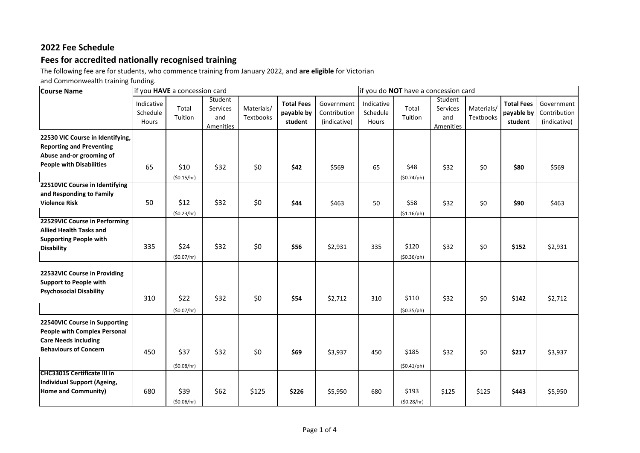# **2022 Fee Schedule**

## **Fees for accredited nationally recognised training**

The following fee are for students, who commence training from January 2022, and **are eligible** for Victorian

and Commonwealth training funding.

| <b>Course Name</b>                                                                                                                  | if you HAVE a concession card   |                    |                                         |                         |                                            |                                            | if you do NOT have a concession card |                              |                                         |                         |                                            |                                            |
|-------------------------------------------------------------------------------------------------------------------------------------|---------------------------------|--------------------|-----------------------------------------|-------------------------|--------------------------------------------|--------------------------------------------|--------------------------------------|------------------------------|-----------------------------------------|-------------------------|--------------------------------------------|--------------------------------------------|
|                                                                                                                                     | Indicative<br>Schedule<br>Hours | Total<br>Tuition   | Student<br>Services<br>and<br>Amenities | Materials/<br>Textbooks | <b>Total Fees</b><br>payable by<br>student | Government<br>Contribution<br>(indicative) | Indicative<br>Schedule<br>Hours      | Total<br>Tuition             | Student<br>Services<br>and<br>Amenities | Materials/<br>Textbooks | <b>Total Fees</b><br>payable by<br>student | Government<br>Contribution<br>(indicative) |
| 22530 VIC Course in Identifying,<br><b>Reporting and Preventing</b><br>Abuse and-or grooming of<br><b>People with Disabilities</b>  | 65                              | \$10<br>(50.15/hr) | \$32                                    | \$0                     | \$42                                       | \$569                                      | 65                                   | \$48<br>$(50.74/\text{ph})$  | \$32                                    | \$0                     | \$80                                       | \$569                                      |
| 22510VIC Course in Identifying<br>and Responding to Family<br><b>Violence Risk</b>                                                  | 50                              | \$12<br>(50.23/hr) | \$32                                    | \$0                     | \$44                                       | \$463                                      | 50                                   | \$58<br>(\$1.16/ph)          | \$32                                    | \$0                     | \$90                                       | \$463                                      |
| 22529VIC Course in Performing<br><b>Allied Health Tasks and</b><br><b>Supporting People with</b><br><b>Disability</b>               | 335                             | \$24<br>(50.07/hr) | \$32                                    | \$0                     | \$56                                       | \$2,931                                    | 335                                  | \$120<br>$(50.36/\text{ph})$ | \$32                                    | \$0                     | \$152                                      | \$2,931                                    |
| 22532VIC Course in Providing<br><b>Support to People with</b><br><b>Psychosocial Disability</b>                                     | 310                             | \$22<br>(50.07/hr) | \$32                                    | \$0                     | \$54                                       | \$2,712                                    | 310                                  | \$110<br>$(50.35/\text{ph})$ | \$32                                    | \$0                     | \$142                                      | \$2,712                                    |
| 22540VIC Course in Supporting<br><b>People with Complex Personal</b><br><b>Care Needs including</b><br><b>Behaviours of Concern</b> | 450                             | \$37<br>(50.08/hr) | \$32                                    | \$0                     | \$69                                       | \$3,937                                    | 450                                  | \$185<br>$(50.41/\text{ph})$ | \$32                                    | \$0                     | \$217                                      | \$3,937                                    |
| <b>CHC33015 Certificate III in</b><br>Individual Support (Ageing,<br>Home and Community)                                            | 680                             | \$39<br>(50.06/hr) | \$62                                    | \$125                   | \$226                                      | \$5,950                                    | 680                                  | \$193<br>(50.28/hr)          | \$125                                   | \$125                   | \$443                                      | \$5,950                                    |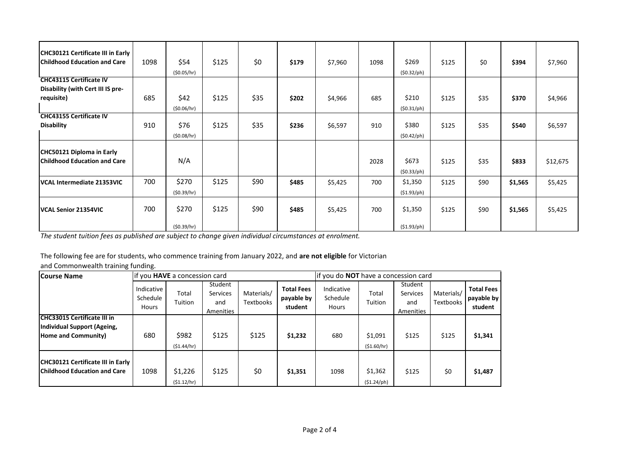| <b>CHC30121 Certificate III in Early</b><br><b>Childhood Education and Care</b> | 1098 | \$54<br>(50.05/hr)  | \$125 | \$0  | \$179 | \$7,960 | 1098 | \$269<br>$(50.32/\text{ph})$   | \$125 | \$0  | \$394   | \$7,960  |
|---------------------------------------------------------------------------------|------|---------------------|-------|------|-------|---------|------|--------------------------------|-------|------|---------|----------|
| <b>CHC43115 Certificate IV</b>                                                  |      |                     |       |      |       |         |      |                                |       |      |         |          |
| Disability (with Cert III IS pre-<br>requisite)                                 | 685  | \$42<br>(50.06/hr)  | \$125 | \$35 | \$202 | \$4,966 | 685  | \$210<br>$(50.31/\text{ph})$   | \$125 | \$35 | \$370   | \$4,966  |
| <b>CHC43155 Certificate IV</b><br><b>Disability</b>                             | 910  | \$76<br>(50.08/hr)  | \$125 | \$35 | \$236 | \$6,597 | 910  | \$380<br>$(50.42/\text{ph})$   | \$125 | \$35 | \$540   | \$6,597  |
| <b>CHC50121 Diploma in Early</b><br><b>Childhood Education and Care</b>         |      | N/A                 |       |      |       |         | 2028 | \$673<br>$(50.33/\text{ph})$   | \$125 | \$35 | \$833   | \$12,675 |
| VCAL Intermediate 21353VIC                                                      | 700  | \$270<br>(50.39/hr) | \$125 | \$90 | \$485 | \$5,425 | 700  | \$1,350<br>$(51.93/\text{ph})$ | \$125 | \$90 | \$1,565 | \$5,425  |
| <b>VCAL Senior 21354VIC</b>                                                     | 700  | \$270<br>(50.39/hr) | \$125 | \$90 | \$485 | \$5,425 | 700  | \$1,350<br>$(51.93/\text{ph})$ | \$125 | \$90 | \$1,565 | \$5,425  |

*The student tuition fees as published are subject to change given individual circumstances at enrolment.*

The following fee are for students, who commence training from January 2022, and **are not eligible** for Victorian

and Commonwealth training funding.

| <b>Course Name</b>                                                       |                                 | if you HAVE a concession card |                                         |                         |                                            | if you do NOT have a concession card   |                                |                                         |                         |                                            |
|--------------------------------------------------------------------------|---------------------------------|-------------------------------|-----------------------------------------|-------------------------|--------------------------------------------|----------------------------------------|--------------------------------|-----------------------------------------|-------------------------|--------------------------------------------|
|                                                                          | Indicative<br>Schedule<br>Hours | Total<br>Tuition              | Student<br>Services<br>and<br>Amenities | Materials/<br>Textbooks | <b>Total Fees</b><br>payable by<br>student | Indicative<br>Schedule<br><b>Hours</b> | Total<br>Tuition               | Student<br>Services<br>and<br>Amenities | Materials/<br>Textbooks | <b>Total Fees</b><br>payable by<br>student |
| <b>CHC33015 Certificate III in</b>                                       |                                 |                               |                                         |                         |                                            |                                        |                                |                                         |                         |                                            |
| Individual Support (Ageing,<br>Home and Community)                       | 680                             | \$982<br>(51.44/hr)           | \$125                                   | \$125                   | \$1,232                                    | 680                                    | \$1,091<br>(\$1.60/hr)         | \$125                                   | \$125                   | \$1,341                                    |
| CHC30121 Certificate III in Early<br><b>Childhood Education and Care</b> | 1098                            | \$1,226<br>(51.12/hr)         | \$125                                   | \$0                     | \$1,351                                    | 1098                                   | \$1,362<br>$(51.24/\text{ph})$ | \$125                                   | \$0                     | \$1,487                                    |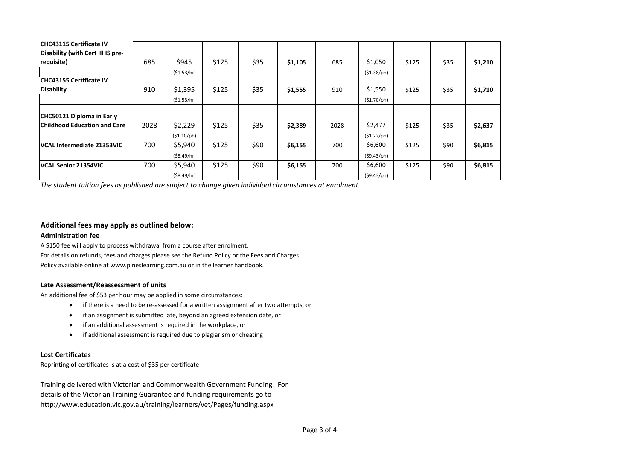| <b>CHC43115 Certificate IV</b>      |      |                     |       |      |         |      |                     |       |      |         |
|-------------------------------------|------|---------------------|-------|------|---------|------|---------------------|-------|------|---------|
| Disability (with Cert III IS pre-   |      |                     |       |      |         |      |                     |       |      |         |
| requisite)                          | 685  | \$945               | \$125 | \$35 | \$1,105 | 685  | \$1,050             | \$125 | \$35 | \$1,210 |
|                                     |      | (51.53/hr)          |       |      |         |      | $(51.38/\text{ph})$ |       |      |         |
| <b>CHC43155 Certificate IV</b>      |      |                     |       |      |         |      |                     |       |      |         |
| <b>Disability</b>                   | 910  | \$1,395             | \$125 | \$35 | \$1,555 | 910  | \$1,550             | \$125 | \$35 | \$1,710 |
|                                     |      | (51.53/hr)          |       |      |         |      | (\$1.70/ph)         |       |      |         |
|                                     |      |                     |       |      |         |      |                     |       |      |         |
| CHC50121 Diploma in Early           |      |                     |       |      |         |      |                     |       |      |         |
| <b>Childhood Education and Care</b> | 2028 | \$2,229             | \$125 | \$35 | \$2,389 | 2028 | \$2,477             | \$125 | \$35 | \$2,637 |
|                                     |      | $(51.10/\text{ph})$ |       |      |         |      | $(51.22/\text{ph})$ |       |      |         |
| <b>VCAL Intermediate 21353VIC</b>   | 700  | \$5,940             | \$125 | \$90 | \$6,155 | 700  | \$6,600             | \$125 | \$90 | \$6,815 |
|                                     |      | ( \$8.49/hr)        |       |      |         |      | $(59.43/\text{ph})$ |       |      |         |
| <b>IVCAL Senior 21354VIC</b>        | 700  | \$5,940             | \$125 | \$90 | \$6,155 | 700  | \$6,600             | \$125 | \$90 | \$6,815 |
|                                     |      | (58.49/hr)          |       |      |         |      | $(59.43/\text{ph})$ |       |      |         |

*The student tuition fees as published are subject to change given individual circumstances at enrolment.*

#### **Additional fees may apply as outlined below:**

#### **Administration fee**

[A \\$150 fee will apply to process withdrawal from a course after enrolment.](http://www.pineslearning.com.au/)  For details on refunds, fees and charges please see the Refund Policy or the Fees and Charges Policy available online at www.pineslearning.com.au or in the learner handbook.

#### **Late Assessment/Reassessment of units**

An additional fee of \$53 per hour may be applied in some circumstances:

- if there is a need to be re-assessed for a written assignment after two attempts, or
- if an assignment is submitted late, beyond an agreed extension date, or
- if an additional assessment is required in the workplace, or
- if additional assessment is required due to plagiarism or cheating

### **Lost Certificates**

Reprinting of certificates is at a cost of \$35 per certificate

Training delivered with Victorian and Commonwealth Government Funding. For details of the Victorian Training Guarantee and funding requirements go to http://www.education.vic.gov.au/training/learners/vet/Pages/funding.aspx